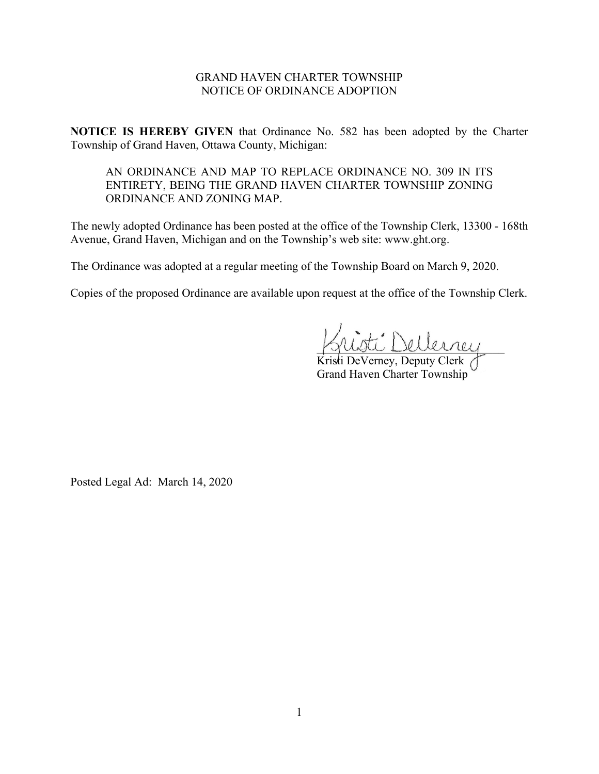## GRAND HAVEN CHARTER TOWNSHIP NOTICE OF ORDINANCE ADOPTION

**NOTICE IS HEREBY GIVEN** that Ordinance No. 582 has been adopted by the Charter Township of Grand Haven, Ottawa County, Michigan:

AN ORDINANCE AND MAP TO REPLACE ORDINANCE NO. 309 IN ITS ENTIRETY, BEING THE GRAND HAVEN CHARTER TOWNSHIP ZONING ORDINANCE AND ZONING MAP.

The newly adopted Ordinance has been posted at the office of the Township Clerk, 13300 - 168th Avenue, Grand Haven, Michigan and on the Township's web site: www.ght.org.

The Ordinance was adopted at a regular meeting of the Township Board on March 9, 2020.

Copies of the proposed Ordinance are available upon request at the office of the Township Clerk.

\_\_\_\_\_\_\_\_\_\_\_\_\_\_\_\_\_\_\_\_\_\_\_\_\_\_\_\_\_\_\_\_

Kristi DeVerney, Deputy Clerk Grand Haven Charter Township

Posted Legal Ad: March 14, 2020